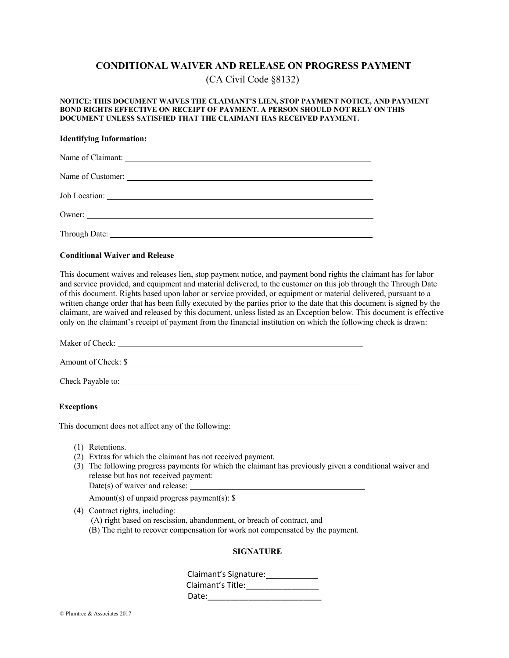# **CONDITIONAL WAIVER AND RELEASE ON PROGRESS PAYMENT**

(CA Civil Code §8132)

### **NOTICE: THIS DOCUMENT WAIVES THE CLAIMANT'S LIEN, STOP PAYMENT NOTICE, AND PAYMENT BOND RIGHTS EFFECTIVE ON RECEIPT OF PAYMENT. A PERSON SHOULD NOT RELY ON THIS DOCUMENT UNLESS SATISFIED THAT THE CLAIMANT HAS RECEIVED PAYMENT.**

## **Identifying Information:**

| Owner: |  |  |
|--------|--|--|
|        |  |  |

#### **Conditional Waiver and Release**

This document waives and releases lien, stop payment notice, and payment bond rights the claimant has for labor and service provided, and equipment and material delivered, to the customer on this job through the Through Date of this document. Rights based upon labor or service provided, or equipment or material delivered, pursuant to a written change order that has been fully executed by the parties prior to the date that this document is signed by the claimant, are waived and released by this document, unless listed as an Exception below. This document is effective only on the claimant's receipt of payment from the financial institution on which the following check is drawn:

Maker of Check: Amount of Check: \$

Check Payable to:

## **Exceptions**

This document does not affect any of the following:

- (1) Retentions.
- (2) Extras for which the claimant has not received payment.
- (3) The following progress payments for which the claimant has previously given a conditional waiver and release but has not received payment: Date(s) of waiver and release:

Amount(s) of unpaid progress payment(s): \$

(4) Contract rights, including: (A) right based on rescission, abandonment, or breach of contract, and (B) The right to recover compensation for work not compensated by the payment.

## **SIGNATURE**

| Claimant's Signature: |
|-----------------------|
| Claimant's Title:     |
| Date:                 |